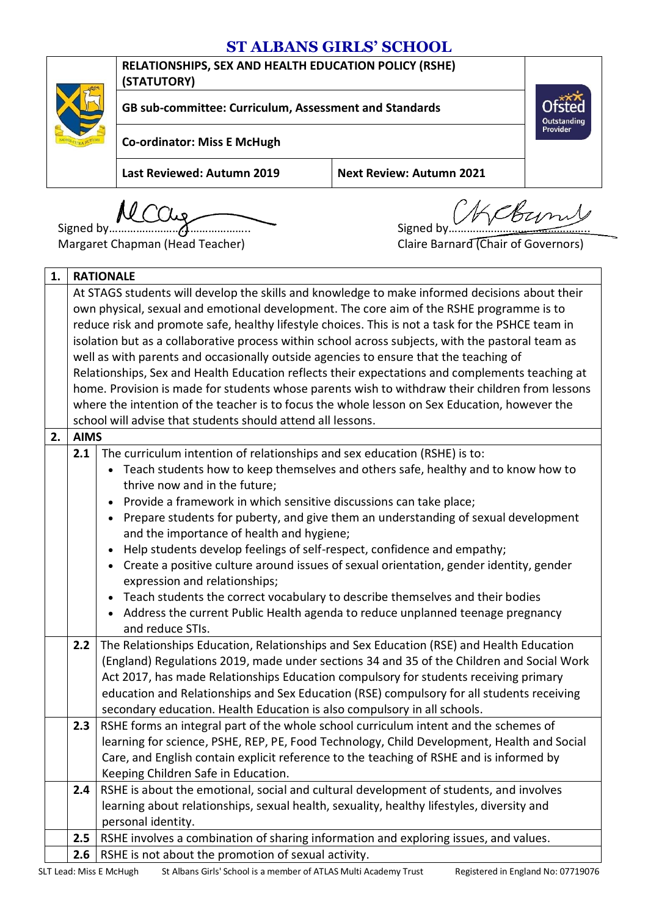## **ST ALBANS GIRLS' SCHOOL**



**RELATIONSHIPS, SEX AND HEALTH EDUCATION POLICY (RSHE) (STATUTORY)**

**GB sub-committee: Curriculum, Assessment and Standards**

**Co-ordinator: Miss E McHugh**

**Last Reviewed: Autumn 2019 Next Review: Autumn 2021**

Signed by **MCCUg**<br>Signed by Signed by

Outstanding<br>Provider

Margaret Chapman (Head Teacher) Claire Barnard (Chair of Governors)

| 1. | <b>RATIONALE</b>                                                                                                                                                                  |                                                                                                   |  |  |
|----|-----------------------------------------------------------------------------------------------------------------------------------------------------------------------------------|---------------------------------------------------------------------------------------------------|--|--|
|    | At STAGS students will develop the skills and knowledge to make informed decisions about their                                                                                    |                                                                                                   |  |  |
|    | own physical, sexual and emotional development. The core aim of the RSHE programme is to                                                                                          |                                                                                                   |  |  |
|    | reduce risk and promote safe, healthy lifestyle choices. This is not a task for the PSHCE team in                                                                                 |                                                                                                   |  |  |
|    |                                                                                                                                                                                   | isolation but as a collaborative process within school across subjects, with the pastoral team as |  |  |
|    |                                                                                                                                                                                   | well as with parents and occasionally outside agencies to ensure that the teaching of             |  |  |
|    |                                                                                                                                                                                   | Relationships, Sex and Health Education reflects their expectations and complements teaching at   |  |  |
|    |                                                                                                                                                                                   | home. Provision is made for students whose parents wish to withdraw their children from lessons   |  |  |
|    |                                                                                                                                                                                   | where the intention of the teacher is to focus the whole lesson on Sex Education, however the     |  |  |
|    |                                                                                                                                                                                   | school will advise that students should attend all lessons.                                       |  |  |
| 2. | <b>AIMS</b>                                                                                                                                                                       |                                                                                                   |  |  |
|    | 2.1                                                                                                                                                                               | The curriculum intention of relationships and sex education (RSHE) is to:                         |  |  |
|    |                                                                                                                                                                                   | Teach students how to keep themselves and others safe, healthy and to know how to                 |  |  |
|    |                                                                                                                                                                                   | thrive now and in the future;                                                                     |  |  |
|    |                                                                                                                                                                                   | Provide a framework in which sensitive discussions can take place;                                |  |  |
|    |                                                                                                                                                                                   | Prepare students for puberty, and give them an understanding of sexual development<br>$\bullet$   |  |  |
|    |                                                                                                                                                                                   | and the importance of health and hygiene;                                                         |  |  |
|    |                                                                                                                                                                                   | Help students develop feelings of self-respect, confidence and empathy;                           |  |  |
|    |                                                                                                                                                                                   | Create a positive culture around issues of sexual orientation, gender identity, gender            |  |  |
|    | expression and relationships;<br>Teach students the correct vocabulary to describe themselves and their bodies                                                                    |                                                                                                   |  |  |
|    | $\bullet$<br>Address the current Public Health agenda to reduce unplanned teenage pregnancy                                                                                       |                                                                                                   |  |  |
|    |                                                                                                                                                                                   |                                                                                                   |  |  |
|    | and reduce STIs.                                                                                                                                                                  |                                                                                                   |  |  |
|    | The Relationships Education, Relationships and Sex Education (RSE) and Health Education<br>2.2                                                                                    |                                                                                                   |  |  |
|    | (England) Regulations 2019, made under sections 34 and 35 of the Children and Social Work                                                                                         |                                                                                                   |  |  |
|    | Act 2017, has made Relationships Education compulsory for students receiving primary<br>education and Relationships and Sex Education (RSE) compulsory for all students receiving |                                                                                                   |  |  |
|    | secondary education. Health Education is also compulsory in all schools.                                                                                                          |                                                                                                   |  |  |
|    | RSHE forms an integral part of the whole school curriculum intent and the schemes of<br>2.3                                                                                       |                                                                                                   |  |  |
|    | learning for science, PSHE, REP, PE, Food Technology, Child Development, Health and Social                                                                                        |                                                                                                   |  |  |
|    | Care, and English contain explicit reference to the teaching of RSHE and is informed by                                                                                           |                                                                                                   |  |  |
|    | Keeping Children Safe in Education.                                                                                                                                               |                                                                                                   |  |  |
|    | 2.4                                                                                                                                                                               | RSHE is about the emotional, social and cultural development of students, and involves            |  |  |
|    |                                                                                                                                                                                   | learning about relationships, sexual health, sexuality, healthy lifestyles, diversity and         |  |  |
|    |                                                                                                                                                                                   | personal identity.                                                                                |  |  |
|    | 2.5                                                                                                                                                                               | RSHE involves a combination of sharing information and exploring issues, and values.              |  |  |
|    | 2.6                                                                                                                                                                               | RSHE is not about the promotion of sexual activity.                                               |  |  |
|    |                                                                                                                                                                                   |                                                                                                   |  |  |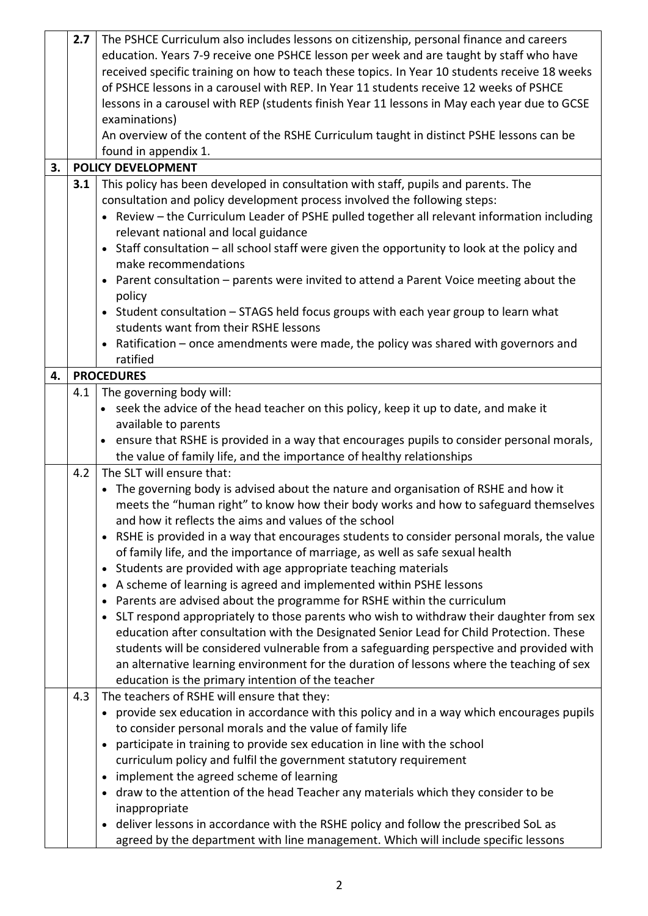|    | 2.7 | The PSHCE Curriculum also includes lessons on citizenship, personal finance and careers                |  |  |  |
|----|-----|--------------------------------------------------------------------------------------------------------|--|--|--|
|    |     | education. Years 7-9 receive one PSHCE lesson per week and are taught by staff who have                |  |  |  |
|    |     | received specific training on how to teach these topics. In Year 10 students receive 18 weeks          |  |  |  |
|    |     | of PSHCE lessons in a carousel with REP. In Year 11 students receive 12 weeks of PSHCE                 |  |  |  |
|    |     |                                                                                                        |  |  |  |
|    |     | lessons in a carousel with REP (students finish Year 11 lessons in May each year due to GCSE           |  |  |  |
|    |     | examinations)                                                                                          |  |  |  |
|    |     | An overview of the content of the RSHE Curriculum taught in distinct PSHE lessons can be               |  |  |  |
|    |     | found in appendix 1.                                                                                   |  |  |  |
| 3. |     | <b>POLICY DEVELOPMENT</b>                                                                              |  |  |  |
|    | 3.1 | This policy has been developed in consultation with staff, pupils and parents. The                     |  |  |  |
|    |     | consultation and policy development process involved the following steps:                              |  |  |  |
|    |     | • Review - the Curriculum Leader of PSHE pulled together all relevant information including            |  |  |  |
|    |     | relevant national and local guidance                                                                   |  |  |  |
|    |     | • Staff consultation - all school staff were given the opportunity to look at the policy and           |  |  |  |
|    |     | make recommendations                                                                                   |  |  |  |
|    |     | • Parent consultation - parents were invited to attend a Parent Voice meeting about the                |  |  |  |
|    |     | policy                                                                                                 |  |  |  |
|    |     | • Student consultation - STAGS held focus groups with each year group to learn what                    |  |  |  |
|    |     | students want from their RSHE lessons                                                                  |  |  |  |
|    |     |                                                                                                        |  |  |  |
|    |     | • Ratification - once amendments were made, the policy was shared with governors and                   |  |  |  |
|    |     | ratified                                                                                               |  |  |  |
| 4. |     | <b>PROCEDURES</b>                                                                                      |  |  |  |
|    | 4.1 | The governing body will:                                                                               |  |  |  |
|    |     | • seek the advice of the head teacher on this policy, keep it up to date, and make it                  |  |  |  |
|    |     | available to parents                                                                                   |  |  |  |
|    |     | ensure that RSHE is provided in a way that encourages pupils to consider personal morals,<br>$\bullet$ |  |  |  |
|    |     | the value of family life, and the importance of healthy relationships                                  |  |  |  |
|    | 4.2 | The SLT will ensure that:                                                                              |  |  |  |
|    |     | • The governing body is advised about the nature and organisation of RSHE and how it                   |  |  |  |
|    |     | meets the "human right" to know how their body works and how to safeguard themselves                   |  |  |  |
|    |     | and how it reflects the aims and values of the school                                                  |  |  |  |
|    |     | • RSHE is provided in a way that encourages students to consider personal morals, the value            |  |  |  |
|    |     | of family life, and the importance of marriage, as well as safe sexual health                          |  |  |  |
|    |     | Students are provided with age appropriate teaching materials<br>$\bullet$                             |  |  |  |
|    |     |                                                                                                        |  |  |  |
|    |     | A scheme of learning is agreed and implemented within PSHE lessons<br>$\bullet$                        |  |  |  |
|    |     | Parents are advised about the programme for RSHE within the curriculum                                 |  |  |  |
|    |     | • SLT respond appropriately to those parents who wish to withdraw their daughter from sex              |  |  |  |
|    |     | education after consultation with the Designated Senior Lead for Child Protection. These               |  |  |  |
|    |     | students will be considered vulnerable from a safeguarding perspective and provided with               |  |  |  |
|    |     | an alternative learning environment for the duration of lessons where the teaching of sex              |  |  |  |
|    |     | education is the primary intention of the teacher                                                      |  |  |  |
|    | 4.3 | The teachers of RSHE will ensure that they:                                                            |  |  |  |
|    |     | • provide sex education in accordance with this policy and in a way which encourages pupils            |  |  |  |
|    |     | to consider personal morals and the value of family life                                               |  |  |  |
|    |     | participate in training to provide sex education in line with the school<br>$\bullet$                  |  |  |  |
|    |     | curriculum policy and fulfil the government statutory requirement                                      |  |  |  |
|    |     | implement the agreed scheme of learning<br>$\bullet$                                                   |  |  |  |
|    |     | draw to the attention of the head Teacher any materials which they consider to be                      |  |  |  |
|    |     | inappropriate                                                                                          |  |  |  |
|    |     | • deliver lessons in accordance with the RSHE policy and follow the prescribed SoL as                  |  |  |  |
|    |     | agreed by the department with line management. Which will include specific lessons                     |  |  |  |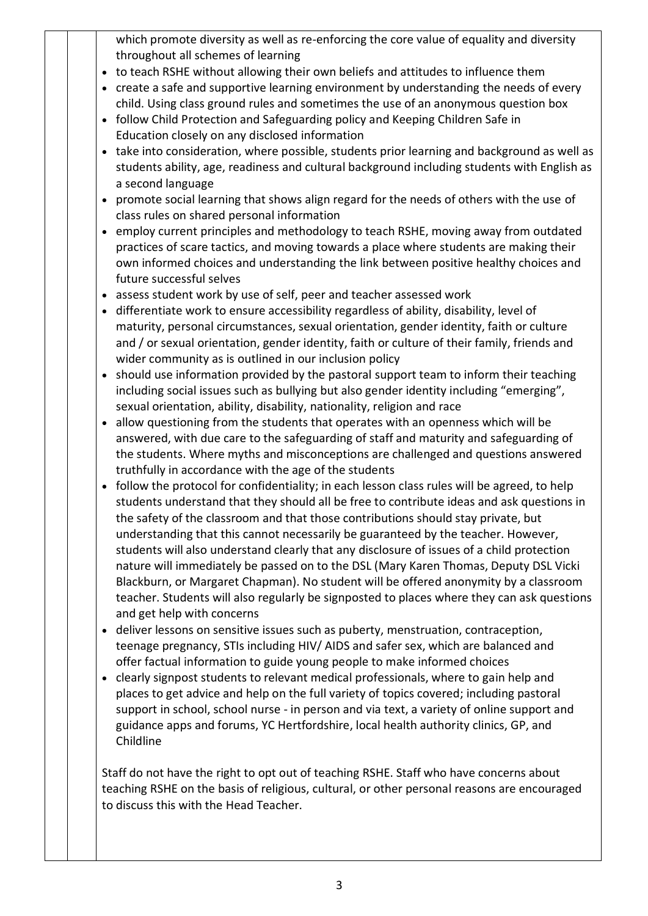which promote diversity as well as re-enforcing the core value of equality and diversity throughout all schemes of learning

- to teach RSHE without allowing their own beliefs and attitudes to influence them
- create a safe and supportive learning environment by understanding the needs of every child. Using class ground rules and sometimes the use of an anonymous question box
- follow Child Protection and Safeguarding policy and Keeping Children Safe in Education closely on any disclosed information
- take into consideration, where possible, students prior learning and background as well as students ability, age, readiness and cultural background including students with English as a second language
- promote social learning that shows align regard for the needs of others with the use of class rules on shared personal information
- employ current principles and methodology to teach RSHE, moving away from outdated practices of scare tactics, and moving towards a place where students are making their own informed choices and understanding the link between positive healthy choices and future successful selves
- assess student work by use of self, peer and teacher assessed work
- differentiate work to ensure accessibility regardless of ability, disability, level of maturity, personal circumstances, sexual orientation, gender identity, faith or culture and / or sexual orientation, gender identity, faith or culture of their family, friends and wider community as is outlined in our inclusion policy
- should use information provided by the pastoral support team to inform their teaching including social issues such as bullying but also gender identity including "emerging", sexual orientation, ability, disability, nationality, religion and race
- allow questioning from the students that operates with an openness which will be answered, with due care to the safeguarding of staff and maturity and safeguarding of the students. Where myths and misconceptions are challenged and questions answered truthfully in accordance with the age of the students
- follow the protocol for confidentiality; in each lesson class rules will be agreed, to help students understand that they should all be free to contribute ideas and ask questions in the safety of the classroom and that those contributions should stay private, but understanding that this cannot necessarily be guaranteed by the teacher. However, students will also understand clearly that any disclosure of issues of a child protection nature will immediately be passed on to the DSL (Mary Karen Thomas, Deputy DSL Vicki Blackburn, or Margaret Chapman). No student will be offered anonymity by a classroom teacher. Students will also regularly be signposted to places where they can ask questions and get help with concerns
- deliver lessons on sensitive issues such as puberty, menstruation, contraception, teenage pregnancy, STIs including HIV/ AIDS and safer sex, which are balanced and offer factual information to guide young people to make informed choices
- clearly signpost students to relevant medical professionals, where to gain help and places to get advice and help on the full variety of topics covered; including pastoral support in school, school nurse - in person and via text, a variety of online support and guidance apps and forums, YC Hertfordshire, local health authority clinics, GP, and Childline

Staff do not have the right to opt out of teaching RSHE. Staff who have concerns about teaching RSHE on the basis of religious, cultural, or other personal reasons are encouraged to discuss this with the Head Teacher.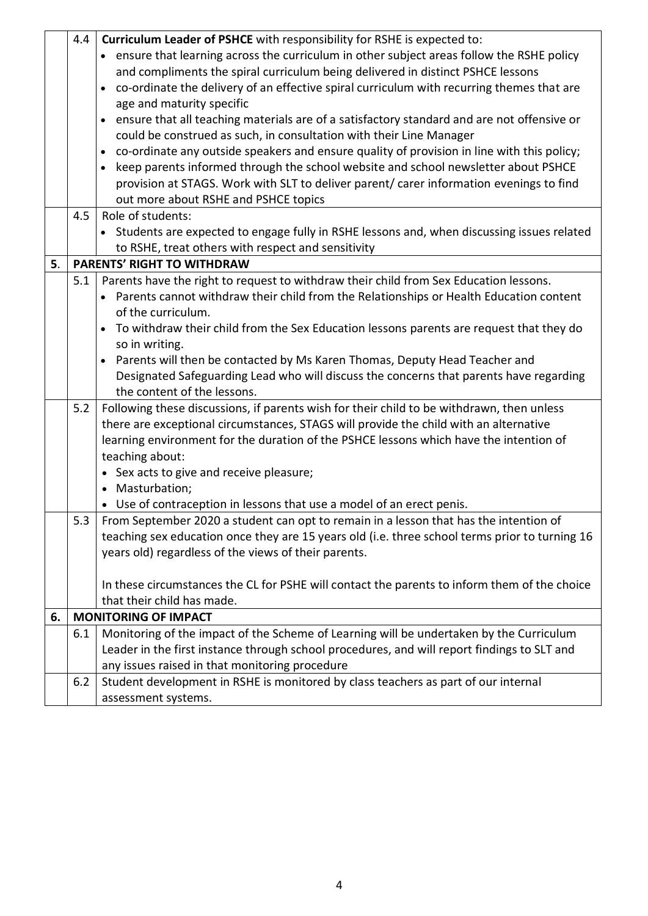|    | 4.4 | Curriculum Leader of PSHCE with responsibility for RSHE is expected to:                         |  |  |  |
|----|-----|-------------------------------------------------------------------------------------------------|--|--|--|
|    |     | • ensure that learning across the curriculum in other subject areas follow the RSHE policy      |  |  |  |
|    |     | and compliments the spiral curriculum being delivered in distinct PSHCE lessons                 |  |  |  |
|    |     | • co-ordinate the delivery of an effective spiral curriculum with recurring themes that are     |  |  |  |
|    |     | age and maturity specific                                                                       |  |  |  |
|    |     | ensure that all teaching materials are of a satisfactory standard and are not offensive or      |  |  |  |
|    |     | could be construed as such, in consultation with their Line Manager                             |  |  |  |
|    |     | • co-ordinate any outside speakers and ensure quality of provision in line with this policy;    |  |  |  |
|    |     | keep parents informed through the school website and school newsletter about PSHCE<br>$\bullet$ |  |  |  |
|    |     | provision at STAGS. Work with SLT to deliver parent/ carer information evenings to find         |  |  |  |
|    |     | out more about RSHE and PSHCE topics                                                            |  |  |  |
|    | 4.5 | Role of students:                                                                               |  |  |  |
|    |     | • Students are expected to engage fully in RSHE lessons and, when discussing issues related     |  |  |  |
|    |     | to RSHE, treat others with respect and sensitivity                                              |  |  |  |
| 5. |     | <b>PARENTS' RIGHT TO WITHDRAW</b>                                                               |  |  |  |
|    | 5.1 | Parents have the right to request to withdraw their child from Sex Education lessons.           |  |  |  |
|    |     | • Parents cannot withdraw their child from the Relationships or Health Education content        |  |  |  |
|    |     | of the curriculum.                                                                              |  |  |  |
|    |     | • To withdraw their child from the Sex Education lessons parents are request that they do       |  |  |  |
|    |     | so in writing.                                                                                  |  |  |  |
|    |     | • Parents will then be contacted by Ms Karen Thomas, Deputy Head Teacher and                    |  |  |  |
|    |     | Designated Safeguarding Lead who will discuss the concerns that parents have regarding          |  |  |  |
|    |     | the content of the lessons.                                                                     |  |  |  |
|    | 5.2 | Following these discussions, if parents wish for their child to be withdrawn, then unless       |  |  |  |
|    |     | there are exceptional circumstances, STAGS will provide the child with an alternative           |  |  |  |
|    |     | learning environment for the duration of the PSHCE lessons which have the intention of          |  |  |  |
|    |     | teaching about:                                                                                 |  |  |  |
|    |     | • Sex acts to give and receive pleasure;                                                        |  |  |  |
|    |     | • Masturbation;                                                                                 |  |  |  |
|    |     | • Use of contraception in lessons that use a model of an erect penis.                           |  |  |  |
|    | 5.3 | From September 2020 a student can opt to remain in a lesson that has the intention of           |  |  |  |
|    |     | teaching sex education once they are 15 years old (i.e. three school terms prior to turning 16  |  |  |  |
|    |     | years old) regardless of the views of their parents.                                            |  |  |  |
|    |     | In these circumstances the CL for PSHE will contact the parents to inform them of the choice    |  |  |  |
|    |     | that their child has made.                                                                      |  |  |  |
| 6. |     | <b>MONITORING OF IMPACT</b>                                                                     |  |  |  |
|    | 6.1 | Monitoring of the impact of the Scheme of Learning will be undertaken by the Curriculum         |  |  |  |
|    |     | Leader in the first instance through school procedures, and will report findings to SLT and     |  |  |  |
|    |     | any issues raised in that monitoring procedure                                                  |  |  |  |
|    | 6.2 | Student development in RSHE is monitored by class teachers as part of our internal              |  |  |  |
|    |     | assessment systems.                                                                             |  |  |  |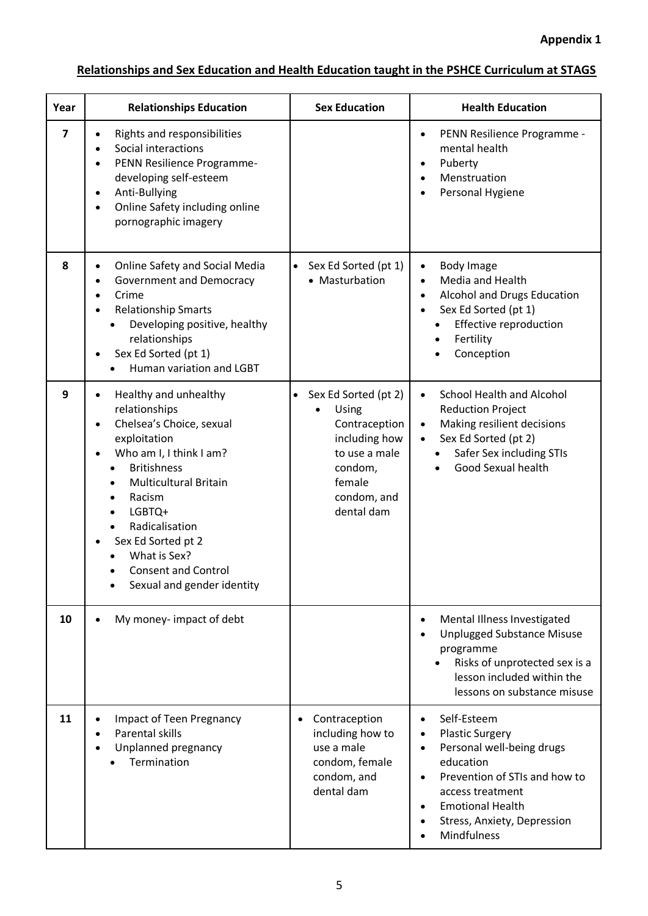## **Relationships and Sex Education and Health Education taught in the PSHCE Curriculum at STAGS**

| Year           | <b>Relationships Education</b>                                                                                                                                                                                                                                                                                                                          | <b>Sex Education</b>                                                                                                                 | <b>Health Education</b>                                                                                                                                                                                                    |
|----------------|---------------------------------------------------------------------------------------------------------------------------------------------------------------------------------------------------------------------------------------------------------------------------------------------------------------------------------------------------------|--------------------------------------------------------------------------------------------------------------------------------------|----------------------------------------------------------------------------------------------------------------------------------------------------------------------------------------------------------------------------|
| $\overline{7}$ | Rights and responsibilities<br>Social interactions<br>PENN Resilience Programme-<br>developing self-esteem<br>Anti-Bullying<br>$\bullet$<br>Online Safety including online<br>pornographic imagery                                                                                                                                                      |                                                                                                                                      | PENN Resilience Programme -<br>mental health<br>Puberty<br>Menstruation<br>Personal Hygiene                                                                                                                                |
| 8              | Online Safety and Social Media<br><b>Government and Democracy</b><br>Crime<br><b>Relationship Smarts</b><br>Developing positive, healthy<br>relationships<br>Sex Ed Sorted (pt 1)<br>Human variation and LGBT                                                                                                                                           | Sex Ed Sorted (pt 1)<br>• Masturbation                                                                                               | <b>Body Image</b><br>Media and Health<br>Alcohol and Drugs Education<br>Sex Ed Sorted (pt 1)<br>$\bullet$<br>Effective reproduction<br>Fertility<br>Conception                                                             |
| 9              | Healthy and unhealthy<br>$\bullet$<br>relationships<br>Chelsea's Choice, sexual<br>$\bullet$<br>exploitation<br>Who am I, I think I am?<br><b>Britishness</b><br><b>Multicultural Britain</b><br>Racism<br>٠<br>LGBTQ+<br>$\bullet$<br>Radicalisation<br>Sex Ed Sorted pt 2<br>What is Sex?<br><b>Consent and Control</b><br>Sexual and gender identity | • Sex Ed Sorted (pt 2)<br>Using<br>Contraception<br>including how<br>to use a male<br>condom,<br>female<br>condom, and<br>dental dam | <b>School Health and Alcohol</b><br>$\bullet$<br><b>Reduction Project</b><br>Making resilient decisions<br>Sex Ed Sorted (pt 2)<br>Safer Sex including STIs<br>$\bullet$<br>Good Sexual health                             |
| 10             | My money-impact of debt                                                                                                                                                                                                                                                                                                                                 |                                                                                                                                      | Mental Illness Investigated<br><b>Unplugged Substance Misuse</b><br>programme<br>Risks of unprotected sex is a<br>lesson included within the<br>lessons on substance misuse                                                |
| 11             | <b>Impact of Teen Pregnancy</b><br>Parental skills<br>Unplanned pregnancy<br>Termination                                                                                                                                                                                                                                                                | Contraception<br>$\bullet$<br>including how to<br>use a male<br>condom, female<br>condom, and<br>dental dam                          | Self-Esteem<br><b>Plastic Surgery</b><br>Personal well-being drugs<br>education<br>Prevention of STIs and how to<br>$\bullet$<br>access treatment<br><b>Emotional Health</b><br>Stress, Anxiety, Depression<br>Mindfulness |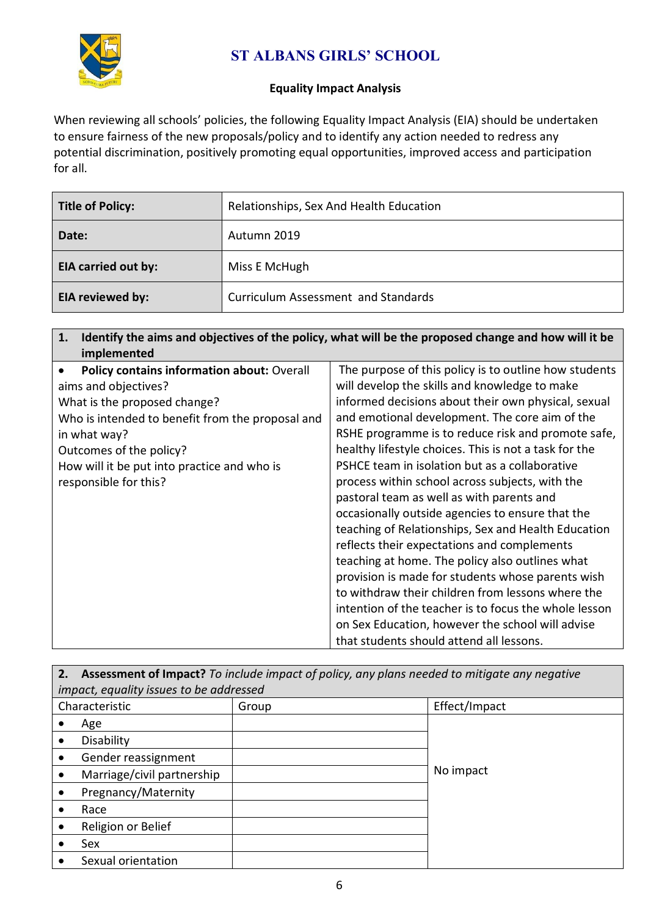

## **ST ALBANS GIRLS' SCHOOL**

## **Equality Impact Analysis**

When reviewing all schools' policies, the following Equality Impact Analysis (EIA) should be undertaken to ensure fairness of the new proposals/policy and to identify any action needed to redress any potential discrimination, positively promoting equal opportunities, improved access and participation for all.

| <b>Title of Policy:</b>    | Relationships, Sex And Health Education    |
|----------------------------|--------------------------------------------|
| Date:                      | Autumn 2019                                |
| <b>EIA carried out by:</b> | Miss E McHugh                              |
| <b>EIA reviewed by:</b>    | <b>Curriculum Assessment and Standards</b> |

| 1. Identify the aims and objectives of the policy, what will be the proposed change and how will it be |  |
|--------------------------------------------------------------------------------------------------------|--|
| implemented                                                                                            |  |

| <b>Policy contains information about: Overall</b> | The purpose of this policy is to outline how students |
|---------------------------------------------------|-------------------------------------------------------|
| aims and objectives?                              | will develop the skills and knowledge to make         |
| What is the proposed change?                      | informed decisions about their own physical, sexual   |
| Who is intended to benefit from the proposal and  | and emotional development. The core aim of the        |
| in what way?                                      | RSHE programme is to reduce risk and promote safe,    |
| Outcomes of the policy?                           | healthy lifestyle choices. This is not a task for the |
| How will it be put into practice and who is       | PSHCE team in isolation but as a collaborative        |
| responsible for this?                             | process within school across subjects, with the       |
|                                                   | pastoral team as well as with parents and             |
|                                                   | occasionally outside agencies to ensure that the      |
|                                                   | teaching of Relationships, Sex and Health Education   |
|                                                   | reflects their expectations and complements           |
|                                                   | teaching at home. The policy also outlines what       |
|                                                   | provision is made for students whose parents wish     |
|                                                   | to withdraw their children from lessons where the     |
|                                                   | intention of the teacher is to focus the whole lesson |
|                                                   | on Sex Education, however the school will advise      |
|                                                   | that students should attend all lessons.              |

| 2. | <b>Assessment of Impact?</b> To include impact of policy, any plans needed to mitigate any negative |       |               |  |  |
|----|-----------------------------------------------------------------------------------------------------|-------|---------------|--|--|
|    | impact, equality issues to be addressed                                                             |       |               |  |  |
|    | Characteristic                                                                                      | Group | Effect/Impact |  |  |
|    | Age                                                                                                 |       |               |  |  |
|    | Disability                                                                                          |       |               |  |  |
|    | Gender reassignment                                                                                 |       |               |  |  |
|    | Marriage/civil partnership                                                                          |       | No impact     |  |  |
|    | Pregnancy/Maternity                                                                                 |       |               |  |  |
|    | Race                                                                                                |       |               |  |  |
|    | Religion or Belief                                                                                  |       |               |  |  |
|    | Sex                                                                                                 |       |               |  |  |
|    | Sexual orientation                                                                                  |       |               |  |  |